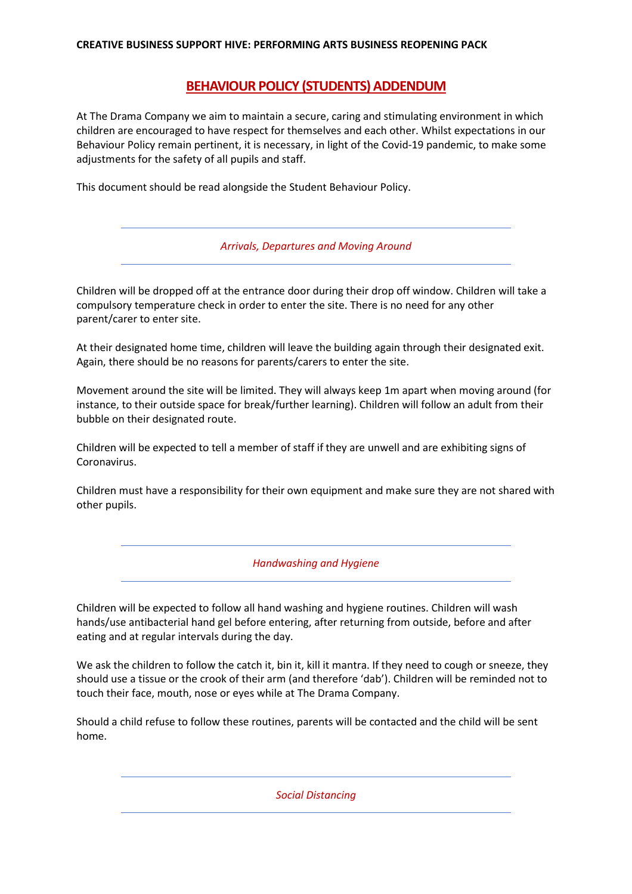## **CREATIVE BUSINESS SUPPORT HIVE: PERFORMING ARTS BUSINESS REOPENING PACK**

## **BEHAVIOUR POLICY (STUDENTS) ADDENDUM**

At The Drama Company we aim to maintain a secure, caring and stimulating environment in which children are encouraged to have respect for themselves and each other. Whilst expectations in our Behaviour Policy remain pertinent, it is necessary, in light of the Covid-19 pandemic, to make some adjustments for the safety of all pupils and staff.

This document should be read alongside the Student Behaviour Policy.

|  | Arrivals, Departures and Moving Around |
|--|----------------------------------------|
|--|----------------------------------------|

Children will be dropped off at the entrance door during their drop off window. Children will take a compulsory temperature check in order to enter the site. There is no need for any other parent/carer to enter site.

At their designated home time, children will leave the building again through their designated exit. Again, there should be no reasons for parents/carers to enter the site.

Movement around the site will be limited. They will always keep 1m apart when moving around (for instance, to their outside space for break/further learning). Children will follow an adult from their bubble on their designated route.

Children will be expected to tell a member of staff if they are unwell and are exhibiting signs of Coronavirus.

Children must have a responsibility for their own equipment and make sure they are not shared with other pupils.

*Handwashing and Hygiene* 

Children will be expected to follow all hand washing and hygiene routines. Children will wash hands/use antibacterial hand gel before entering, after returning from outside, before and after eating and at regular intervals during the day.

We ask the children to follow the catch it, bin it, kill it mantra. If they need to cough or sneeze, they should use a tissue or the crook of their arm (and therefore 'dab'). Children will be reminded not to touch their face, mouth, nose or eyes while at The Drama Company.

Should a child refuse to follow these routines, parents will be contacted and the child will be sent home.

*Social Distancing*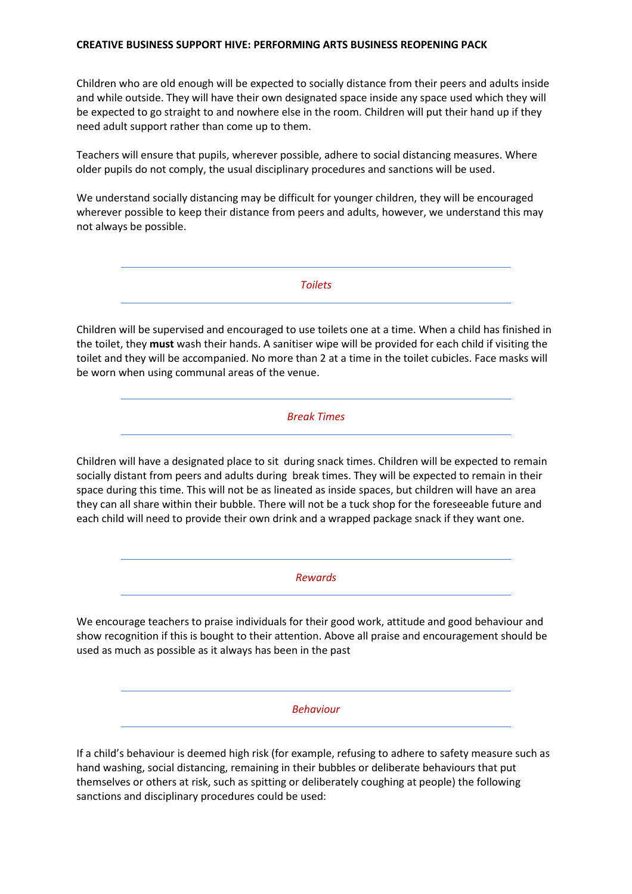## **CREATIVE BUSINESS SUPPORT HIVE: PERFORMING ARTS BUSINESS REOPENING PACK**

Children who are old enough will be expected to socially distance from their peers and adults inside and while outside. They will have their own designated space inside any space used which they will be expected to go straight to and nowhere else in the room. Children will put their hand up if they need adult support rather than come up to them.

Teachers will ensure that pupils, wherever possible, adhere to social distancing measures. Where older pupils do not comply, the usual disciplinary procedures and sanctions will be used.

We understand socially distancing may be difficult for younger children, they will be encouraged wherever possible to keep their distance from peers and adults, however, we understand this may not always be possible.

*Toilets*

Children will be supervised and encouraged to use toilets one at a time. When a child has finished in the toilet, they **must** wash their hands. A sanitiser wipe will be provided for each child if visiting the toilet and they will be accompanied. No more than 2 at a time in the toilet cubicles. Face masks will be worn when using communal areas of the venue.

*Break Times*

Children will have a designated place to sit during snack times. Children will be expected to remain socially distant from peers and adults during break times. They will be expected to remain in their space during this time. This will not be as lineated as inside spaces, but children will have an area they can all share within their bubble. There will not be a tuck shop for the foreseeable future and each child will need to provide their own drink and a wrapped package snack if they want one.

*Rewards*

We encourage teachers to praise individuals for their good work, attitude and good behaviour and show recognition if this is bought to their attention. Above all praise and encouragement should be used as much as possible as it always has been in the past

*Behaviour* 

If a child's behaviour is deemed high risk (for example, refusing to adhere to safety measure such as hand washing, social distancing, remaining in their bubbles or deliberate behaviours that put themselves or others at risk, such as spitting or deliberately coughing at people) the following sanctions and disciplinary procedures could be used: